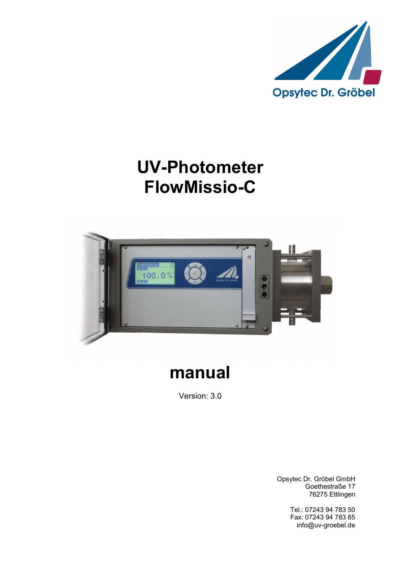

# **UV-Photometer FlowMissio-C**



# **manual**

Version: 3.0

Opsytec Dr. Gröbel GmbH Goethestraße 17 76275 Ettlingen

> Tel.: 07243 94 783 50 Fax: 07243 94 783 65 info@uv-groebel.de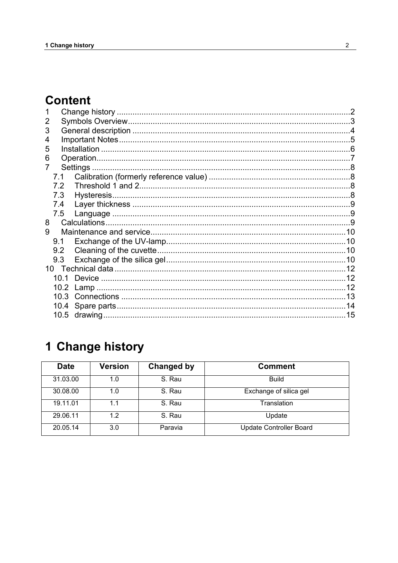# **Content**

| 2  |      |                                                      |  |  |
|----|------|------------------------------------------------------|--|--|
| 3  |      |                                                      |  |  |
| 4  |      |                                                      |  |  |
| 5  |      |                                                      |  |  |
| 6  |      |                                                      |  |  |
|    |      |                                                      |  |  |
|    | 7.1  |                                                      |  |  |
|    | 7.2  |                                                      |  |  |
|    | 7.3  |                                                      |  |  |
|    | 7.4  |                                                      |  |  |
|    | 7.5  |                                                      |  |  |
| 8  |      |                                                      |  |  |
| 9  |      |                                                      |  |  |
|    | 9.1  |                                                      |  |  |
|    | 9.2  |                                                      |  |  |
|    | 9.3  |                                                      |  |  |
| 10 |      |                                                      |  |  |
|    | 10 1 |                                                      |  |  |
|    | 10.2 |                                                      |  |  |
|    | 10.3 |                                                      |  |  |
|    |      | 10.4 Spare parts…………………………………………………………………………………………14 |  |  |
|    |      |                                                      |  |  |

# <span id="page-1-0"></span>1 Change history

| <b>Date</b> | Version | Changed by | <b>Comment</b>                 |
|-------------|---------|------------|--------------------------------|
| 31.03.00    | 1.0     | S. Rau     | <b>Build</b>                   |
| 30.08.00    | 1.0     | S. Rau     | Exchange of silica gel         |
| 19.11.01    | 1.1     | S. Rau     | Translation                    |
| 29.06.11    | 1.2     | S. Rau     | Update                         |
| 20.05.14    | 3.0     | Paravia    | <b>Update Controller Board</b> |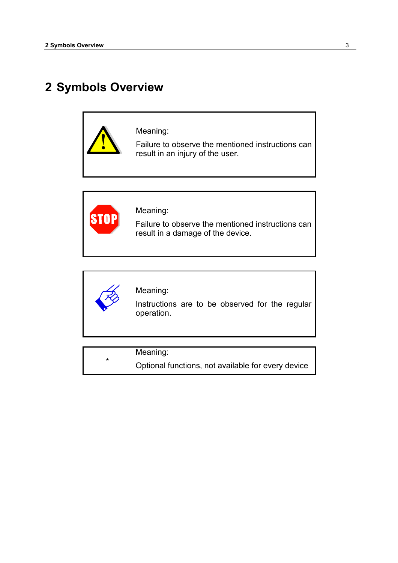# <span id="page-2-0"></span>**2 Symbols Overview**





Meaning:

Failure to observe the mentioned instructions can result in a damage of the device.



\*

Meaning:

Instructions are to be observed for the regular operation.

Meaning:

Optional functions, not available for every device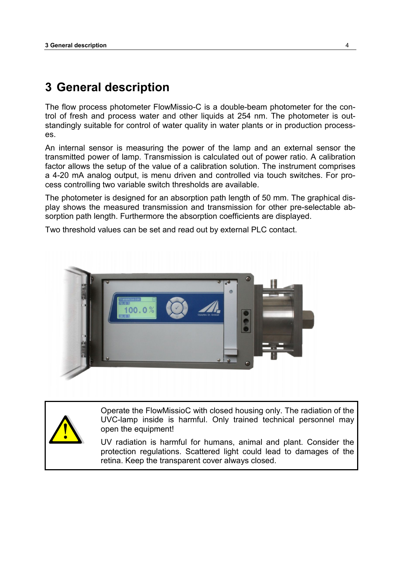## <span id="page-3-0"></span>**3 General description**

The flow process photometer FlowMissio-C is a double-beam photometer for the control of fresh and process water and other liquids at 254 nm. The photometer is outstandingly suitable for control of water quality in water plants or in production processes.

An internal sensor is measuring the power of the lamp and an external sensor the transmitted power of lamp. Transmission is calculated out of power ratio. A calibration factor allows the setup of the value of a calibration solution. The instrument comprises a 4-20 mA analog output, is menu driven and controlled via touch switches. For process controlling two variable switch thresholds are available.

The photometer is designed for an absorption path length of 50 mm. The graphical display shows the measured transmission and transmission for other pre-selectable absorption path length. Furthermore the absorption coefficients are displayed.

Two threshold values can be set and read out by external PLC contact.





Operate the FlowMissioC with closed housing only. The radiation of the UVC-lamp inside is harmful. Only trained technical personnel may open the equipment!

UV radiation is harmful for humans, animal and plant. Consider the protection regulations. Scattered light could lead to damages of the retina. Keep the transparent cover always closed.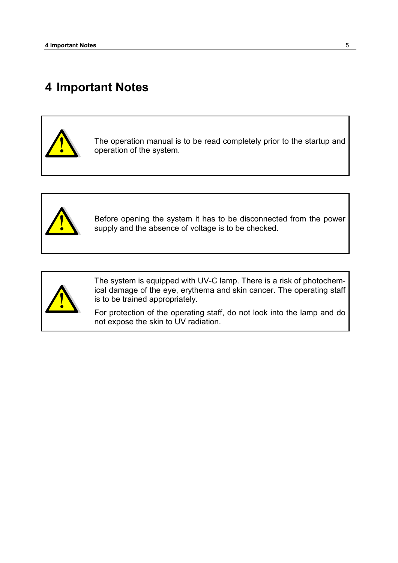# <span id="page-4-0"></span>**4 Important Notes**



The operation manual is to be read completely prior to the startup and operation of the system.



Before opening the system it has to be disconnected from the power supply and the absence of voltage is to be checked.



The system is equipped with UV-C lamp. There is a risk of photochemical damage of the eye, erythema and skin cancer. The operating staff is to be trained appropriately.

For protection of the operating staff, do not look into the lamp and do not expose the skin to UV radiation.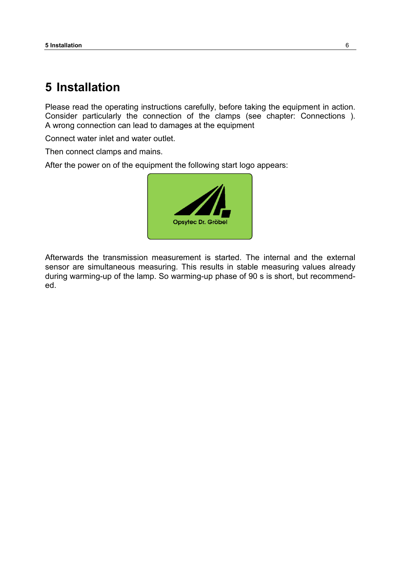## <span id="page-5-0"></span>**5 Installation**

Please read the operating instructions carefully, before taking the equipment in action. Consider particularly the connection of the clamps (see chapter: [Connections \)](#page-12-0). A wrong connection can lead to damages at the equipment

Connect water inlet and water outlet.

Then connect clamps and mains.

After the power on of the equipment the following start logo appears:



Afterwards the transmission measurement is started. The internal and the external sensor are simultaneous measuring. This results in stable measuring values already during warming-up of the lamp. So warming-up phase of 90 s is short, but recommended.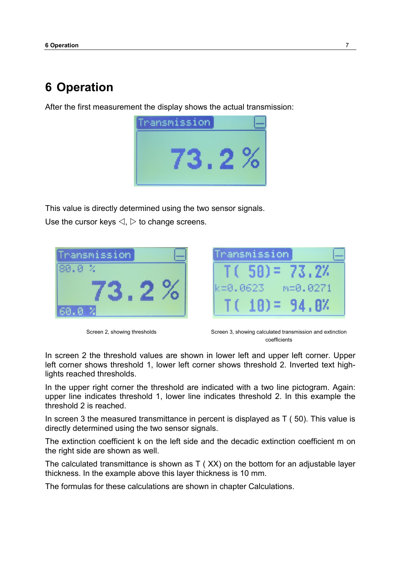## <span id="page-6-0"></span>**6 Operation**

After the first measurement the display shows the actual transmission:



This value is directly determined using the two sensor signals.

Use the cursor keys  $\triangleleft$ ,  $\triangleright$  to change screens.





Screen 2, showing thresholds Screen 3, showing calculated transmission and extinction coefficients

In screen 2 the threshold values are shown in lower left and upper left corner. Upper left corner shows threshold 1, lower left corner shows threshold 2. Inverted text highlights reached thresholds.

In the upper right corner the threshold are indicated with a two line pictogram. Again: upper line indicates threshold 1, lower line indicates threshold 2. In this example the threshold 2 is reached.

In screen 3 the measured transmittance in percent is displayed as  $T(50)$ . This value is directly determined using the two sensor signals.

The extinction coefficient k on the left side and the decadic extinction coefficient m on the right side are shown as well.

The calculated transmittance is shown as T ( XX) on the bottom for an adjustable layer thickness. In the example above this layer thickness is 10 mm.

The formulas for these calculations are shown in chapter Calculations.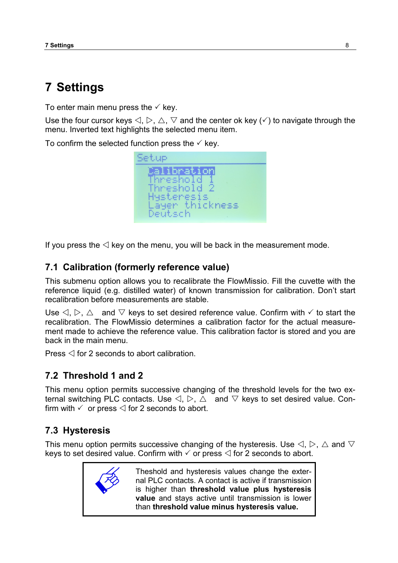# <span id="page-7-0"></span>**7 Settings**

To enter main menu press the  $\checkmark$  key.

Use the four cursor keys  $\triangle, \triangleright, \triangle, \triangledown$  and the center ok key ( $\triangle$ ) to navigate through the menu. Inverted text highlights the selected menu item.

To confirm the selected function press the  $\checkmark$  key.

Setup ilibration hreshold hreshold 2 Hysteresis layer thickness Deutsch

If you press the  $\triangleleft$  key on the menu, you will be back in the measurement mode.

### <span id="page-7-1"></span>**7.1 Calibration (formerly reference value)**

This submenu option allows you to recalibrate the FlowMissio. Fill the cuvette with the reference liquid (e.g. distilled water) of known transmission for calibration. Don't start recalibration before measurements are stable.

Use  $\triangle, \triangleright, \triangle$  and  $\triangledown$  keys to set desired reference value. Confirm with  $\checkmark$  to start the recalibration. The FlowMissio determines a calibration factor for the actual measurement made to achieve the reference value. This calibration factor is stored and you are back in the main menu.

Press  $\triangleleft$  for 2 seconds to abort calibration.

### <span id="page-7-2"></span>**7.2 Threshold 1 and 2**

This menu option permits successive changing of the threshold levels for the two external switching PLC contacts. Use  $\triangle \triangleright$ ,  $\triangle$  and  $\triangledown$  keys to set desired value. Confirm with  $\checkmark$  or press  $\leq$  for 2 seconds to abort.

### <span id="page-7-3"></span>**7.3 Hysteresis**

This menu option permits successive changing of the hysteresis. Use  $\triangle, \triangleright, \triangle$  and  $\triangledown$ keys to set desired value. Confirm with  $\checkmark$  or press  $\checkmark$  for 2 seconds to abort.



Theshold and hysteresis values change the external PLC contacts. A contact is active if transmission is higher than **threshold value plus hysteresis value** and stays active until transmission is lower than **threshold value minus hysteresis value.**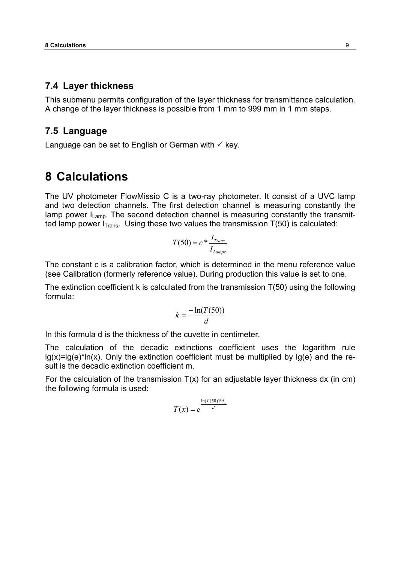#### <span id="page-8-0"></span>**7.4 Layer thickness**

This submenu permits configuration of the layer thickness for transmittance calculation. A change of the layer thickness is possible from 1 mm to 999 mm in 1 mm steps.

#### <span id="page-8-1"></span>**7.5 Language**

<span id="page-8-2"></span>Language can be set to English or German with  $\checkmark$  key.

### **8 Calculations**

The UV photometer FlowMissio C is a two-ray photometer. It consist of a UVC lamp and two detection channels. The first detection channel is measuring constantly the lamp power  $I_{Lamp}$ . The second detection channel is measuring constantly the transmitted lamp power  $I<sub>Trans</sub>$ . Using these two values the transmission  $T(50)$  is calculated:

$$
T(50) = c * \frac{I_{Trans}}{I_{Lamp}}
$$

The constant c is a calibration factor, which is determined in the menu reference value (see [Calibration \(formerly reference value\)](#page-7-1). During production this value is set to one.

The extinction coefficient k is calculated from the transmission T(50) using the following formula:

$$
k = \frac{-\ln(T(50))}{d}
$$

In this formula d is the thickness of the cuvette in centimeter.

The calculation of the decadic extinctions coefficient uses the logarithm rule  $lg(x)=lg(e)^*ln(x)$ . Only the extinction coefficient must be multiplied by  $lg(e)$  and the result is the decadic extinction coefficient m.

For the calculation of the transmission  $T(x)$  for an adjustable layer thickness dx (in cm) the following formula is used:

$$
T(x) = e^{\frac{\ln(T(50))^*d_x}{d}}
$$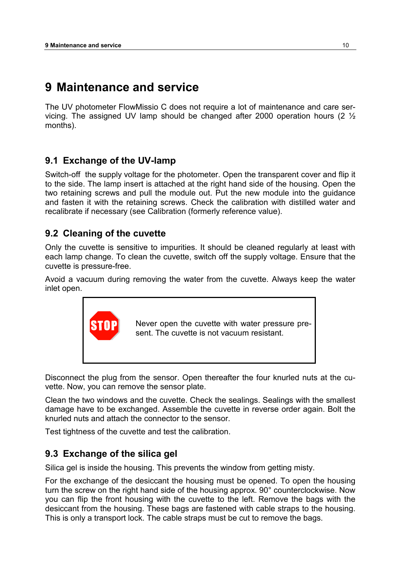# <span id="page-9-0"></span>**9 Maintenance and service**

The UV photometer FlowMissio C does not require a lot of maintenance and care servicing. The assigned UV lamp should be changed after 2000 operation hours (2  $\frac{1}{2}$ ) months).

### <span id="page-9-1"></span>**9.1 Exchange of the UV-lamp**

Switch-off the supply voltage for the photometer. Open the transparent cover and flip it to the side. The lamp insert is attached at the right hand side of the housing. Open the two retaining screws and pull the module out. Put the new module into the guidance and fasten it with the retaining screws. Check the calibration with distilled water and recalibrate if necessary (see [Calibration \(formerly reference value\)](#page-7-1).

### <span id="page-9-2"></span>**9.2 Cleaning of the cuvette**

Only the cuvette is sensitive to impurities. It should be cleaned regularly at least with each lamp change. To clean the cuvette, switch off the supply voltage. Ensure that the cuvette is pressure-free.

Avoid a vacuum during removing the water from the cuvette. Always keep the water inlet open.



Disconnect the plug from the sensor. Open thereafter the four knurled nuts at the cuvette. Now, you can remove the sensor plate.

Clean the two windows and the cuvette. Check the sealings. Sealings with the smallest damage have to be exchanged. Assemble the cuvette in reverse order again. Bolt the knurled nuts and attach the connector to the sensor.

Test tightness of the cuvette and test the calibration.

### <span id="page-9-3"></span>**9.3 Exchange of the silica gel**

Silica gel is inside the housing. This prevents the window from getting misty.

For the exchange of the desiccant the housing must be opened. To open the housing turn the screw on the right hand side of the housing approx. 90° counterclockwise. Now you can flip the front housing with the cuvette to the left. Remove the bags with the desiccant from the housing. These bags are fastened with cable straps to the housing. This is only a transport lock. The cable straps must be cut to remove the bags.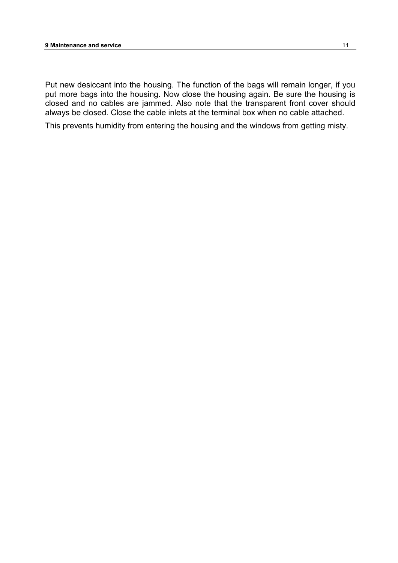Put new desiccant into the housing. The function of the bags will remain longer, if you put more bags into the housing. Now close the housing again. Be sure the housing is closed and no cables are jammed. Also note that the transparent front cover should always be closed. Close the cable inlets at the terminal box when no cable attached.

This prevents humidity from entering the housing and the windows from getting misty.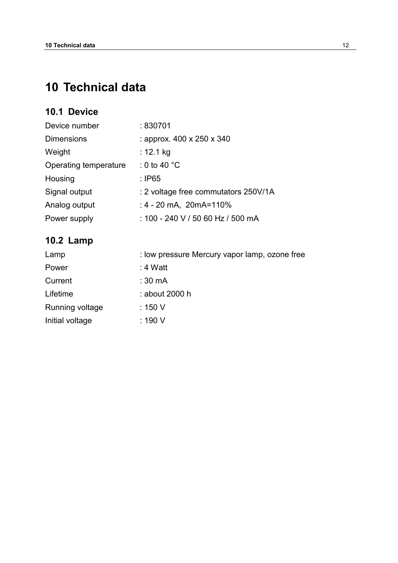# <span id="page-11-0"></span>**10 Technical data**

### <span id="page-11-1"></span>**10.1 Device**

| Device number         | : 830701                             |  |
|-----------------------|--------------------------------------|--|
| <b>Dimensions</b>     | : approx. 400 x 250 x 340            |  |
| Weight                | : 12.1 kg                            |  |
| Operating temperature | : 0 to 40 $^{\circ}$ C               |  |
| Housing               | $:$ IP65                             |  |
| Signal output         | : 2 voltage free commutators 250V/1A |  |
| Analog output         | $: 4 - 20$ mA, $20$ mA=110%          |  |
| Power supply          | : 100 - 240 V / 50 60 Hz / 500 mA    |  |

### <span id="page-11-2"></span>**10.2 Lamp**

| Lamp            | : low pressure Mercury vapor lamp, ozone free |
|-----------------|-----------------------------------------------|
| Power           | : 4 Watt                                      |
| Current         | : 30 mA                                       |
| Lifetime        | : about 2000 h                                |
| Running voltage | : 150 V                                       |
| Initial voltage | : 190 V                                       |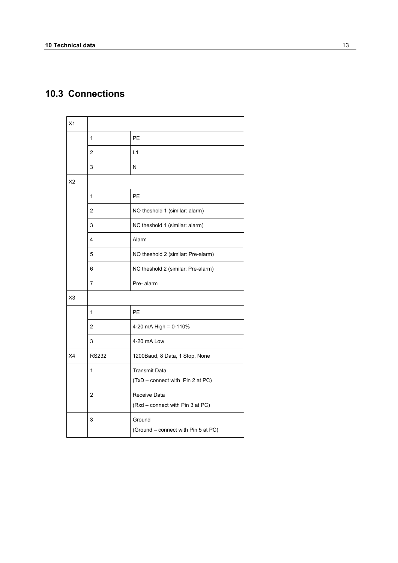### <span id="page-12-0"></span>**10.3 Connections**

| X1             |                |                                     |
|----------------|----------------|-------------------------------------|
|                | $\mathbf{1}$   | PE                                  |
|                | $\overline{2}$ | L1                                  |
|                | 3              | N                                   |
| X <sub>2</sub> |                |                                     |
|                | $\mathbf{1}$   | PE                                  |
|                | $\overline{2}$ | NO theshold 1 (similar: alarm)      |
|                | 3              | NC theshold 1 (similar: alarm)      |
|                | 4              | Alarm                               |
|                | 5              | NO theshold 2 (similar: Pre-alarm)  |
|                | 6              | NC theshold 2 (similar: Pre-alarm)  |
|                | 7              | Pre-alarm                           |
| X <sub>3</sub> |                |                                     |
|                | 1              | PE                                  |
|                | 2              | 4-20 mA High = 0-110%               |
|                | 3              | 4-20 mA Low                         |
| X4             | <b>RS232</b>   | 1200Baud, 8 Data, 1 Stop, None      |
|                | 1              | <b>Transmit Data</b>                |
|                |                | (TxD - connect with Pin 2 at PC)    |
|                | $\overline{2}$ | Receive Data                        |
|                |                | (Rxd - connect with Pin 3 at PC)    |
|                | 3              | Ground                              |
|                |                | (Ground - connect with Pin 5 at PC) |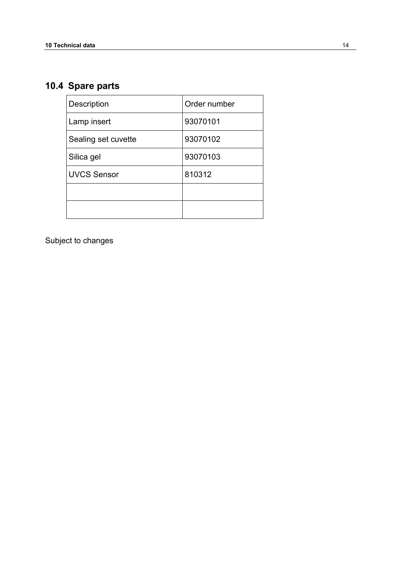# <span id="page-13-0"></span>**10.4 Spare parts**

| <b>Description</b>  | Order number |
|---------------------|--------------|
| Lamp insert         | 93070101     |
| Sealing set cuvette | 93070102     |
| Silica gel          | 93070103     |
| UVCS Sensor         | 810312       |
|                     |              |
|                     |              |

Subject to changes